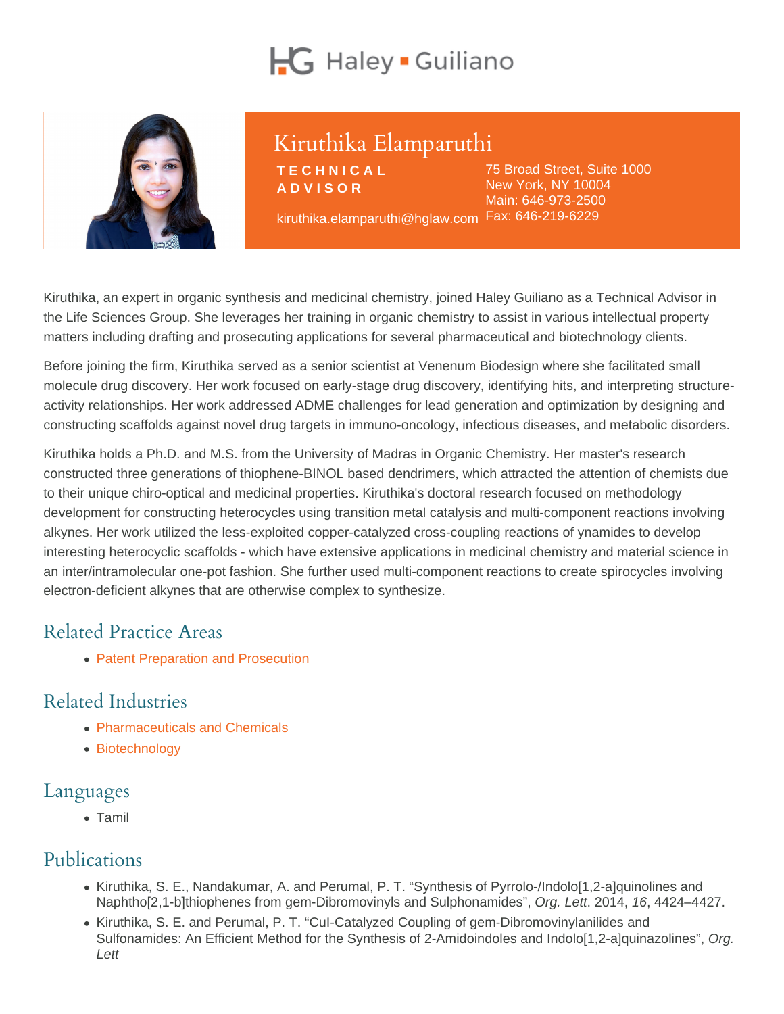# Kiruthika Elamparuthi

**TECHNICAL** ADVISOR

kiruthika.elamparuthi@hglaw.com Fax: 646-219-622975 Broad Street, Suite 1000 New York, NY 10004 Main: [646-973-2500](tel:+1-646-973-2500)

Kiruthika, an expert in organic synthesis and medicinal chemistry, joined Haley Guiliano as a Technical Advisor in the Life Sciences Group. She leverages her training in organic chemistry to assist in various intellectual property matters including drafting and prosecuting applications for several pharmaceutical and biotechnology clients.

Before joining the firm, Kiruthika served as a senior scientist at Venenum Biodesign where she facilitated small molecule drug discovery. Her work focused on early-stage drug discovery, identifying hits, and interpreting structureactivity relationships. Her work addressed ADME challenges for lead generation and optimization by designing and constructing scaffolds against novel drug targets in immuno-oncology, infectious diseases, and metabolic disorders.

Kiruthika holds a Ph.D. and M.S. from the University of Madras in Organic Chemistry. Her master's research constructed three generations of thiophene-BINOL based dendrimers, which attracted the attention of chemists due to their unique chiro-optical and medicinal properties. Kiruthika's doctoral research focused on methodology development for constructing heterocycles using transition metal catalysis and multi-component reactions involving alkynes. Her work utilized the less-exploited copper-catalyzed cross-coupling reactions of ynamides to develop interesting heterocyclic scaffolds - which have extensive applications in medicinal chemistry and material science in an inter/intramolecular one-pot fashion. She further used multi-component reactions to create spirocycles involving electron-deficient alkynes that are otherwise complex to synthesize.

## Related Practice Areas

• [Patent Preparation and Prosecution](https://www.hglaw.com/practice-areas/patents/patent-preparation-prosecution/)

## Related Industries

- [Pharmaceuticals and Chemicals](https://www.hglaw.com/industries/pharmaceuticals-chemicals/)
- [Biotechnology](https://www.hglaw.com/industries/biotechnology/)

#### Languages

• Tamil

#### Publications

- Kiruthika, S. E., Nandakumar, A. and Perumal, P. T. "Synthesis of Pyrrolo-/Indolo[1,2-a]quinolines and Naphtho[2,1-b]thiophenes from gem-Dibromovinyls and Sulphonamides", Org. Lett. 2014, 16, 4424–4427.
- Kiruthika, S. E. and Perumal, P. T. "Cul-Catalyzed Coupling of gem-Dibromovinylanilides and Sulfonamides: An Efficient Method for the Synthesis of 2-Amidoindoles and Indolo[1,2-a]quinazolines", Org. Lett